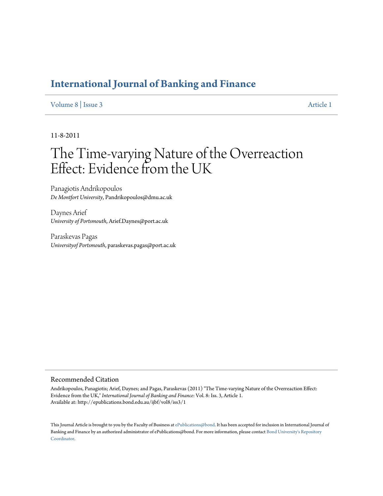# **[International Journal of Banking and Finance](http://epublications.bond.edu.au/ijbf)**

# [Volume 8](http://epublications.bond.edu.au/ijbf/vol8) | [Issue 3](http://epublications.bond.edu.au/ijbf/vol8/iss3) [Article 1](http://epublications.bond.edu.au/ijbf/vol8/iss3/1)

11-8-2011

# The Time-varying Nature of the Overreaction Effect: Evidence from the UK

Panagiotis Andrikopoulos *De Montfort University*, Pandrikopoulos@dmu.ac.uk

Daynes Arief *University of Portsmouth*, Arief.Daynes@port.ac.uk

Paraskevas Pagas *Universityof Portsmouth*, paraskevas.pagas@port.ac.uk

#### Recommended Citation

Andrikopoulos, Panagiotis; Arief, Daynes; and Pagas, Paraskevas (2011) "The Time-varying Nature of the Overreaction Effect: Evidence from the UK," *International Journal of Banking and Finance*: Vol. 8: Iss. 3, Article 1. Available at: http://epublications.bond.edu.au/ijbf/vol8/iss3/1

This Journal Article is brought to you by the Faculty of Business at [ePublications@bond](http://epublications.bond.edu.au). It has been accepted for inclusion in International Journal of Banking and Finance by an authorized administrator of ePublications@bond. For more information, please contact [Bond University's Repository](mailto:acass@bond.edu.au) [Coordinator.](mailto:acass@bond.edu.au)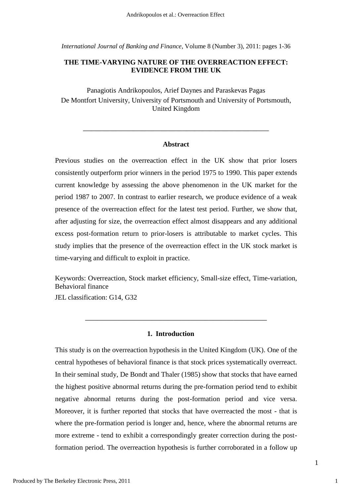*International Journal of Banking and Finance*, Volume 8 (Number 3), 2011: pages 1-36

# **THE TIME-VARYING NATURE OF THE OVERREACTION EFFECT: EVIDENCE FROM THE UK**

Panagiotis Andrikopoulos, Arief Daynes and Paraskevas Pagas De Montfort University, University of Portsmouth and University of Portsmouth, United Kingdom

#### **Abstract**

\_\_\_\_\_\_\_\_\_\_\_\_\_\_\_\_\_\_\_\_\_\_\_\_\_\_\_\_\_\_\_\_\_\_\_\_\_\_\_\_\_\_\_\_\_

Previous studies on the overreaction effect in the UK show that prior losers consistently outperform prior winners in the period 1975 to 1990. This paper extends current knowledge by assessing the above phenomenon in the UK market for the period 1987 to 2007. In contrast to earlier research, we produce evidence of a weak presence of the overreaction effect for the latest test period. Further, we show that, after adjusting for size, the overreaction effect almost disappears and any additional excess post-formation return to prior-losers is attributable to market cycles. This study implies that the presence of the overreaction effect in the UK stock market is time-varying and difficult to exploit in practice.

Keywords: Overreaction, Stock market efficiency, Small-size effect, Time-variation, Behavioral finance

\_\_\_\_\_\_\_\_\_\_\_\_\_\_\_\_\_\_\_\_\_\_\_\_\_\_\_\_\_\_\_\_\_\_\_\_\_\_\_\_\_\_\_\_

JEL classification: G14, G32

# **1. Introduction**

This study is on the overreaction hypothesis in the United Kingdom (UK). One of the central hypotheses of behavioral finance is that stock prices systematically overreact. In their seminal study, De Bondt and Thaler (1985) show that stocks that have earned the highest positive abnormal returns during the pre-formation period tend to exhibit negative abnormal returns during the post-formation period and vice versa. Moreover, it is further reported that stocks that have overreacted the most - that is where the pre-formation period is longer and, hence, where the abnormal returns are more extreme - tend to exhibit a correspondingly greater correction during the postformation period. The overreaction hypothesis is further corroborated in a follow up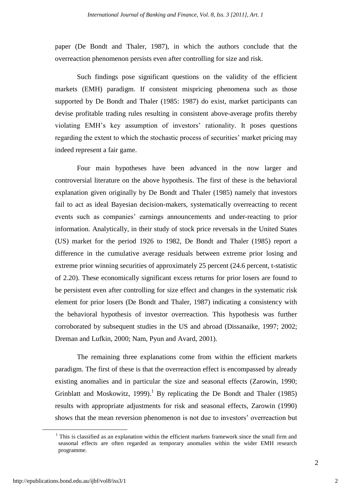paper (De Bondt and Thaler, 1987), in which the authors conclude that the overreaction phenomenon persists even after controlling for size and risk.

Such findings pose significant questions on the validity of the efficient markets (EMH) paradigm. If consistent mispricing phenomena such as those supported by De Bondt and Thaler (1985: 1987) do exist, market participants can devise profitable trading rules resulting in consistent above-average profits thereby violating EMH's key assumption of investors' rationality. It poses questions regarding the extent to which the stochastic process of securities' market pricing may indeed represent a fair game.

Four main hypotheses have been advanced in the now larger and controversial literature on the above hypothesis. The first of these is the behavioral explanation given originally by De Bondt and Thaler (1985) namely that investors fail to act as ideal Bayesian decision-makers, systematically overreacting to recent events such as companies' earnings announcements and under-reacting to prior information. Analytically, in their study of stock price reversals in the United States (US) market for the period 1926 to 1982, De Bondt and Thaler (1985) report a difference in the cumulative average residuals between extreme prior losing and extreme prior winning securities of approximately 25 percent (24.6 percent, t-statistic of 2.20). These economically significant excess returns for prior losers are found to be persistent even after controlling for size effect and changes in the systematic risk element for prior losers (De Bondt and Thaler, 1987) indicating a consistency with the behavioral hypothesis of investor overreaction. This hypothesis was further corroborated by subsequent studies in the US and abroad (Dissanaike, 1997; 2002; Dreman and Lufkin, 2000; Nam, Pyun and Avard, 2001).

The remaining three explanations come from within the efficient markets paradigm. The first of these is that the overreaction effect is encompassed by already existing anomalies and in particular the size and seasonal effects (Zarowin, 1990; Grinblatt and Moskowitz, 1999).<sup>1</sup> By replicating the De Bondt and Thaler (1985) results with appropriate adjustments for risk and seasonal effects, Zarowin (1990) shows that the mean reversion phenomenon is not due to investors" overreaction but

<u>.</u>

 $1$  This is classified as an explanation within the efficient markets framework since the small firm and seasonal effects are often regarded as temporary anomalies within the wider EMH research programme.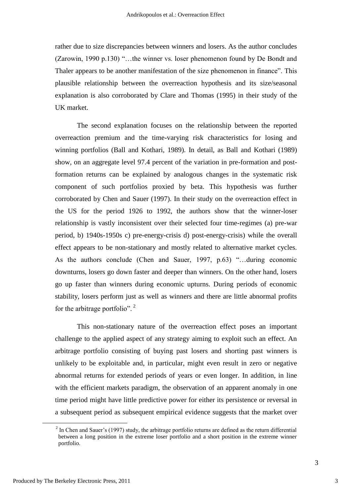rather due to size discrepancies between winners and losers. As the author concludes (Zarowin, 1990 p.130) "…the winner vs. loser phenomenon found by De Bondt and Thaler appears to be another manifestation of the size phenomenon in finance". This plausible relationship between the overreaction hypothesis and its size/seasonal explanation is also corroborated by Clare and Thomas (1995) in their study of the UK market.

The second explanation focuses on the relationship between the reported overreaction premium and the time-varying risk characteristics for losing and winning portfolios (Ball and Kothari, 1989). In detail, as Ball and Kothari (1989) show, on an aggregate level 97.4 percent of the variation in pre-formation and postformation returns can be explained by analogous changes in the systematic risk component of such portfolios proxied by beta. This hypothesis was further corroborated by Chen and Sauer (1997). In their study on the overreaction effect in the US for the period 1926 to 1992, the authors show that the winner-loser relationship is vastly inconsistent over their selected four time-regimes (a) pre-war period, b) 1940s-1950s c) pre-energy-crisis d) post-energy-crisis) while the overall effect appears to be non-stationary and mostly related to alternative market cycles. As the authors conclude (Chen and Sauer, 1997, p.63) "…during economic downturns, losers go down faster and deeper than winners. On the other hand, losers go up faster than winners during economic upturns. During periods of economic stability, losers perform just as well as winners and there are little abnormal profits for the arbitrage portfolio". <sup>2</sup>

This non-stationary nature of the overreaction effect poses an important challenge to the applied aspect of any strategy aiming to exploit such an effect. An arbitrage portfolio consisting of buying past losers and shorting past winners is unlikely to be exploitable and, in particular, might even result in zero or negative abnormal returns for extended periods of years or even longer. In addition, in line with the efficient markets paradigm, the observation of an apparent anomaly in one time period might have little predictive power for either its persistence or reversal in a subsequent period as subsequent empirical evidence suggests that the market over

1

 $2^{2}$  In Chen and Sauer's (1997) study, the arbitrage portfolio returns are defined as the return differential between a long position in the extreme loser portfolio and a short position in the extreme winner portfolio.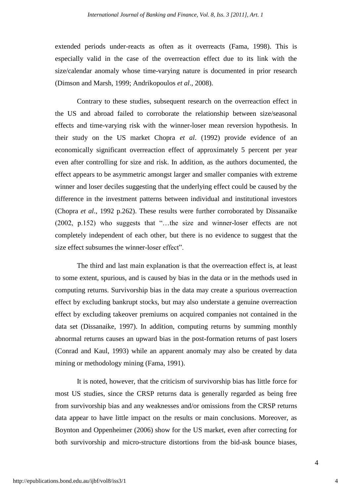extended periods under-reacts as often as it overreacts (Fama, 1998). This is especially valid in the case of the overreaction effect due to its link with the size/calendar anomaly whose time-varying nature is documented in prior research (Dimson and Marsh, 1999; Andrikopoulos *et al*., 2008).

Contrary to these studies, subsequent research on the overreaction effect in the US and abroad failed to corroborate the relationship between size/seasonal effects and time-varying risk with the winner-loser mean reversion hypothesis. In their study on the US market Chopra *et al*. (1992) provide evidence of an economically significant overreaction effect of approximately 5 percent per year even after controlling for size and risk. In addition, as the authors documented, the effect appears to be asymmetric amongst larger and smaller companies with extreme winner and loser deciles suggesting that the underlying effect could be caused by the difference in the investment patterns between individual and institutional investors (Chopra *et al*., 1992 p.262). These results were further corroborated by Dissanaike (2002, p.152) who suggests that "…the size and winner-loser effects are not completely independent of each other, but there is no evidence to suggest that the size effect subsumes the winner-loser effect".

The third and last main explanation is that the overreaction effect is, at least to some extent, spurious, and is caused by bias in the data or in the methods used in computing returns. Survivorship bias in the data may create a spurious overreaction effect by excluding bankrupt stocks, but may also understate a genuine overreaction effect by excluding takeover premiums on acquired companies not contained in the data set (Dissanaike, 1997). In addition, computing returns by summing monthly abnormal returns causes an upward bias in the post-formation returns of past losers (Conrad and Kaul, 1993) while an apparent anomaly may also be created by data mining or methodology mining (Fama, 1991).

It is noted, however, that the criticism of survivorship bias has little force for most US studies, since the CRSP returns data is generally regarded as being free from survivorship bias and any weaknesses and/or omissions from the CRSP returns data appear to have little impact on the results or main conclusions. Moreover, as Boynton and Oppenheimer (2006) show for the US market, even after correcting for both survivorship and micro-structure distortions from the bid-ask bounce biases,

4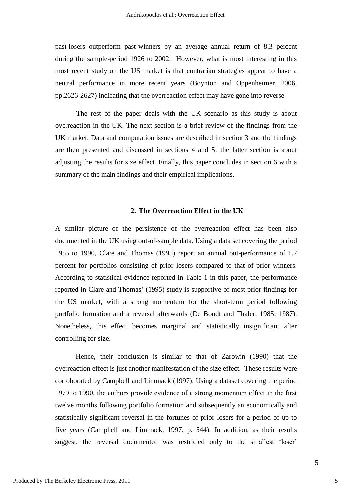past-losers outperform past-winners by an average annual return of 8.3 percent during the sample-period 1926 to 2002. However, what is most interesting in this most recent study on the US market is that contrarian strategies appear to have a neutral performance in more recent years (Boynton and Oppenheimer, 2006, pp.2626-2627) indicating that the overreaction effect may have gone into reverse.

The rest of the paper deals with the UK scenario as this study is about overreaction in the UK. The next section is a brief review of the findings from the UK market. Data and computation issues are described in section 3 and the findings are then presented and discussed in sections 4 and 5: the latter section is about adjusting the results for size effect. Finally, this paper concludes in section 6 with a summary of the main findings and their empirical implications.

## **2. The Overreaction Effect in the UK**

A similar picture of the persistence of the overreaction effect has been also documented in the UK using out-of-sample data. Using a data set covering the period 1955 to 1990, Clare and Thomas (1995) report an annual out-performance of 1.7 percent for portfolios consisting of prior losers compared to that of prior winners. According to statistical evidence reported in Table 1 in this paper, the performance reported in Clare and Thomas" (1995) study is supportive of most prior findings for the US market, with a strong momentum for the short-term period following portfolio formation and a reversal afterwards (De Bondt and Thaler, 1985; 1987). Nonetheless, this effect becomes marginal and statistically insignificant after controlling for size.

Hence, their conclusion is similar to that of Zarowin (1990) that the overreaction effect is just another manifestation of the size effect. These results were corroborated by Campbell and Limmack (1997). Using a dataset covering the period 1979 to 1990, the authors provide evidence of a strong momentum effect in the first twelve months following portfolio formation and subsequently an economically and statistically significant reversal in the fortunes of prior losers for a period of up to five years (Campbell and Limmack, 1997, p. 544). In addition, as their results suggest, the reversal documented was restricted only to the smallest 'loser'

5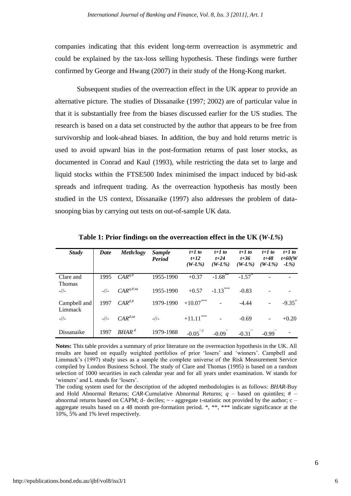companies indicating that this evident long-term overreaction is asymmetric and could be explained by the tax-loss selling hypothesis. These findings were further confirmed by George and Hwang (2007) in their study of the Hong-Kong market.

Subsequent studies of the overreaction effect in the UK appear to provide an alternative picture. The studies of Dissanaike (1997; 2002) are of particular value in that it is substantially free from the biases discussed earlier for the US studies. The research is based on a data set constructed by the author that appears to be free from survivorship and look-ahead biases. In addition, the buy and hold returns metric is used to avoid upward bias in the post-formation returns of past loser stocks, as documented in Conrad and Kaul (1993), while restricting the data set to large and liquid stocks within the FTSE500 Index minimised the impact induced by bid-ask spreads and infrequent trading. As the overreaction hypothesis has mostly been studied in the US context, Dissanaike (1997) also addresses the problem of datasnooping bias by carrying out tests on out-of-sample UK data.

| <b>Study</b>               | Date   | Meth/logy         | <i>Sample</i><br><b>Period</b> | $t+1$ to<br>$t+12$<br>$(W-L\%)$ | $t+1$ to<br>$t + 24$<br>$(W-L\%)$ | $t+1$ to<br>$t + 36$<br>$(W-L\%)$ | $t+1$ to<br>$t + 48$<br>$(W-L\%)$ | $t+1$ to<br>$t+60(W)$<br>$-L\%$ |
|----------------------------|--------|-------------------|--------------------------------|---------------------------------|-----------------------------------|-----------------------------------|-----------------------------------|---------------------------------|
| Clare and<br><b>Thomas</b> | 1995   | $CAR^{q, \#}$     | 1955-1990                      | $+0.37$                         | $-1.68$ **                        | $-1.57$ <sup>*</sup>              |                                   |                                 |
| $-1/$                      | $-1/1$ | $CAR^{q, \#, sa}$ | 1955-1990                      | $+0.57$                         | $-1.13***$                        | $-0.83$                           |                                   |                                 |
| Campbell and<br>Limmack    | 1997   | $CAR^{d, \#}$     | 1979-1990                      | $+10.07***$                     |                                   | $-4.44$                           |                                   | $-9.35$ <sup>*</sup>            |
| $-1/$                      | $-1/1$ | $CAR^{d,sa}$      | $-1/$                          | $+11.11$ ***                    |                                   | $-0.69$                           | -                                 | $+0.20$                         |
| Dissanaike                 | 1997   | $BHAR^d$          | 1979-1988                      | $-0.05^{\degree, c}$            | $-0.09$                           | $-0.31$                           | $-0.99$                           |                                 |

**Table 1: Prior findings on the overreaction effect in the UK (***W-L%***)**

**Notes:** This table provides a summary of prior literature on the overreaction hypothesis in the UK. All results are based on equally weighted portfolios of prior "losers" and "winners". Campbell and Limmack"s (1997) study uses as a sample the complete universe of the Risk Measurement Service compiled by London Business School. The study of Clare and Thomas (1995) is based on a random selection of 1000 securities in each calendar year and for all years under examination. W stands for 'winners' and L stands for 'losers'.

The coding system used for the description of the adopted methodologies is as follows: *BHAR-*Buy and Hold Abnormal Returns; *CAR*-Cumulative Abnormal Returns; *q* – based on quintiles; # – abnormal returns based on CAPM; d- deciles; ~ - aggregate t-statistic not provided by the author; c aggregate results based on a 48 month pre-formation period. \*, \*\*, \*\*\* indicate significance at the 10%, 5% and 1% level respectively.

6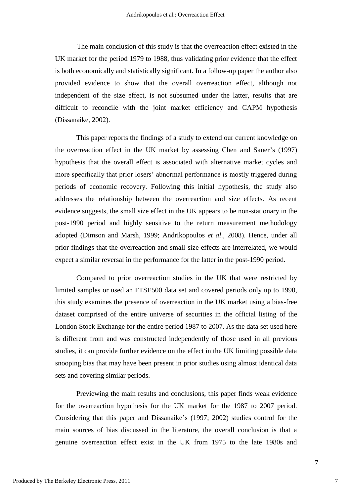The main conclusion of this study is that the overreaction effect existed in the UK market for the period 1979 to 1988, thus validating prior evidence that the effect is both economically and statistically significant. In a follow-up paper the author also provided evidence to show that the overall overreaction effect, although not independent of the size effect, is not subsumed under the latter, results that are difficult to reconcile with the joint market efficiency and CAPM hypothesis (Dissanaike, 2002).

This paper reports the findings of a study to extend our current knowledge on the overreaction effect in the UK market by assessing Chen and Sauer's (1997) hypothesis that the overall effect is associated with alternative market cycles and more specifically that prior losers' abnormal performance is mostly triggered during periods of economic recovery. Following this initial hypothesis, the study also addresses the relationship between the overreaction and size effects. As recent evidence suggests, the small size effect in the UK appears to be non-stationary in the post-1990 period and highly sensitive to the return measurement methodology adopted (Dimson and Marsh, 1999; Andrikopoulos *et al*., 2008). Hence, under all prior findings that the overreaction and small-size effects are interrelated, we would expect a similar reversal in the performance for the latter in the post-1990 period.

Compared to prior overreaction studies in the UK that were restricted by limited samples or used an FTSE500 data set and covered periods only up to 1990, this study examines the presence of overreaction in the UK market using a bias-free dataset comprised of the entire universe of securities in the official listing of the London Stock Exchange for the entire period 1987 to 2007. As the data set used here is different from and was constructed independently of those used in all previous studies, it can provide further evidence on the effect in the UK limiting possible data snooping bias that may have been present in prior studies using almost identical data sets and covering similar periods.

Previewing the main results and conclusions, this paper finds weak evidence for the overreaction hypothesis for the UK market for the 1987 to 2007 period. Considering that this paper and Dissanaike"s (1997; 2002) studies control for the main sources of bias discussed in the literature, the overall conclusion is that a genuine overreaction effect exist in the UK from 1975 to the late 1980s and

7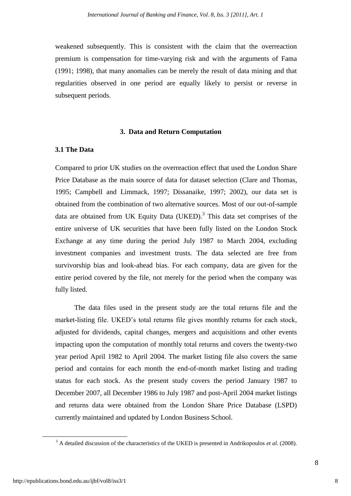weakened subsequently. This is consistent with the claim that the overreaction premium is compensation for time-varying risk and with the arguments of Fama (1991; 1998), that many anomalies can be merely the result of data mining and that regularities observed in one period are equally likely to persist or reverse in subsequent periods.

#### **3. Data and Return Computation**

#### **3.1 The Data**

Compared to prior UK studies on the overreaction effect that used the London Share Price Database as the main source of data for dataset selection (Clare and Thomas, 1995; Campbell and Limmack, 1997; Dissanaike, 1997; 2002), our data set is obtained from the combination of two alternative sources. Most of our out-of-sample data are obtained from UK Equity Data (UKED).<sup>3</sup> This data set comprises of the entire universe of UK securities that have been fully listed on the London Stock Exchange at any time during the period July 1987 to March 2004, excluding investment companies and investment trusts. The data selected are free from survivorship bias and look-ahead bias. For each company, data are given for the entire period covered by the file, not merely for the period when the company was fully listed.

The data files used in the present study are the total returns file and the market-listing file. UKED's total returns file gives monthly returns for each stock, adjusted for dividends, capital changes, mergers and acquisitions and other events impacting upon the computation of monthly total returns and covers the twenty-two year period April 1982 to April 2004. The market listing file also covers the same period and contains for each month the end-of-month market listing and trading status for each stock. As the present study covers the period January 1987 to December 2007, all December 1986 to July 1987 and post-April 2004 market listings and returns data were obtained from the London Share Price Database (LSPD) currently maintained and updated by London Business School.

1

<sup>3</sup> A detailed discussion of the characteristics of the UKED is presented in Andrikopoulos *et al*. (2008).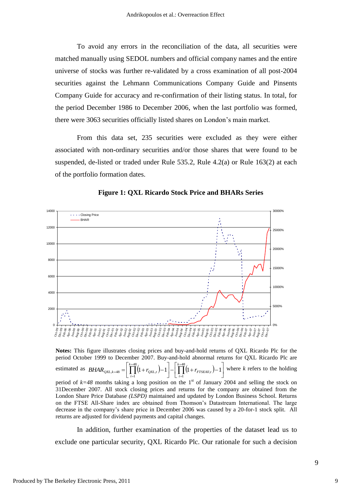To avoid any errors in the reconciliation of the data, all securities were matched manually using SEDOL numbers and official company names and the entire universe of stocks was further re-validated by a cross examination of all post-2004 securities against the Lehmann Communications Company Guide and Pinsents Company Guide for accuracy and re-confirmation of their listing status. In total, for the period December 1986 to December 2006, when the last portfolio was formed, there were 3063 securities officially listed shares on London"s main market.

From this data set, 235 securities were excluded as they were either associated with non-ordinary securities and/or those shares that were found to be suspended, de-listed or traded under Rule 535.2, Rule 4.2(a) or Rule 163(2) at each of the portfolio formation dates.



**Figure 1: QXL Ricardo Stock Price and BHARs Series**

**Notes:** This figure illustrates closing prices and buy-and-hold returns of QXL Ricardo Plc for the period October 1999 to December 2007. Buy-and-hold abnormal returns for QXL Ricardo Plc are estimated as  $BHAR_{QXL,k=48} = \_$  $(1 + r_{QXL,t}) - 1 = \prod_{t=1}^{t} (1 + r_{FTSEAll,t}) - 1$  $\overline{\phantom{a}}$  $\lfloor$  $_{=48} = \left\lceil \prod_{i=48}^{k=48} (1 + r_{QXL,t}) - 1 \right\rceil - \left\lceil \prod_{i=48}^{k=48} (1 + r_{FTSEAll,t}) - 1 \right\rceil$ J  $\overline{\phantom{a}}$  $=\left[\prod_{k=48}(1+r_{QXL,t})-1\right]-\left[\prod_{k=48}\right]$ = = 1 , 1  $k=48$  |  $\left| \right| \left| \right| \left| \right| \left| \right| \left| \right| T$   $^{\prime} QXL$ *k t*  $\left\{ \frac{FTSEAll_t}{-1} \right\}$  where *k* refers to the holding  $BHAR_{QXL,k=48} = \left[\prod_{i=48}^{k=48} (1 + r_{QXL,i}) - 1\right] - \left[\prod_{i=48}^{k=48} (1 + r_{QXL,i}) - 1\right]$ *t* period of  $k=48$  months taking a long position on the 1<sup>st</sup> of January 2004 and selling the stock on 31December 2007. All stock closing prices and returns for the company are obtained from the London Share Price Database *(LSPD)* maintained and updated by London Business School. Returns on the FTSE All-Share index are obtained from Thomson"s Datastream International. The large decrease in the company"s share price in December 2006 was caused by a 20-for-1 stock split. All returns are adjusted for dividend payments and capital changes.

In addition, further examination of the properties of the dataset lead us to exclude one particular security, QXL Ricardo Plc. Our rationale for such a decision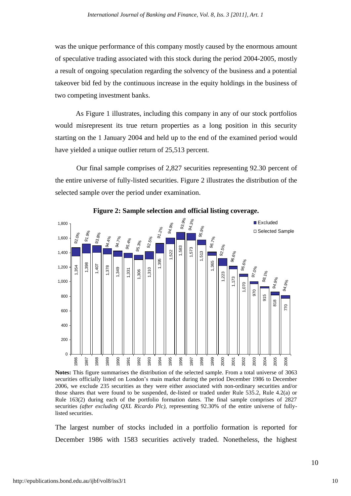was the unique performance of this company mostly caused by the enormous amount of speculative trading associated with this stock during the period 2004-2005, mostly a result of ongoing speculation regarding the solvency of the business and a potential takeover bid fed by the continuous increase in the equity holdings in the business of two competing investment banks.

As Figure 1 illustrates, including this company in any of our stock portfolios would misrepresent its true return properties as a long position in this security starting on the 1 January 2004 and held up to the end of the examined period would have yielded a unique outlier return of 25,513 percent.

Our final sample comprises of 2,827 securities representing 92.30 percent of the entire universe of fully-listed securities. Figure 2 illustrates the distribution of the selected sample over the period under examination.



**Figure 2: Sample selection and official listing coverage.**

**Notes:** This figure summarises the distribution of the selected sample. From a total universe of 3063 securities officially listed on London's main market during the period December 1986 to December 2006, we exclude 235 securities as they were either associated with non-ordinary securities and/or those shares that were found to be suspended, de-listed or traded under Rule 535.2, Rule 4.2(a) or Rule 163(2) during each of the portfolio formation dates. The final sample comprises of 2827 securities *(after excluding QXL Ricardo Plc),* representing 92.30% of the entire universe of fullylisted securities.

The largest number of stocks included in a portfolio formation is reported for December 1986 with 1583 securities actively traded. Nonetheless, the highest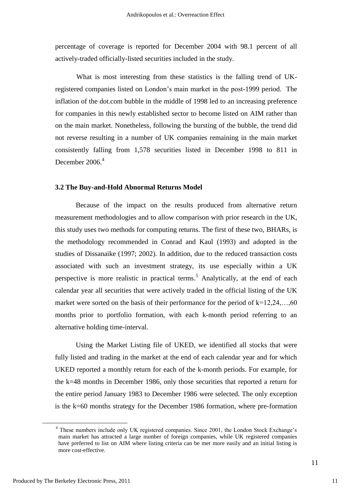percentage of coverage is reported for December 2004 with 98.1 percent of all actively-traded officially-listed securities included in the study.

What is most interesting from these statistics is the falling trend of UKregistered companies listed on London"s main market in the post-1999 period. The inflation of the dot.com bubble in the middle of 1998 led to an increasing preference for companies in this newly established sector to become listed on AIM rather than on the main market. Nonetheless, following the bursting of the bubble, the trend did not reverse resulting in a number of UK companies remaining in the main market consistently falling from 1,578 securities listed in December 1998 to 811 in December 2006. 4

#### **3.2 The Buy-and-Hold Abnormal Returns Model**

Because of the impact on the results produced from alternative return measurement methodologies and to allow comparison with prior research in the UK, this study uses two methods for computing returns. The first of these two, BHARs*,* is the methodology recommended in Conrad and Kaul (1993) and adopted in the studies of Dissanaike (1997; 2002). In addition, due to the reduced transaction costs associated with such an investment strategy, its use especially within a UK perspective is more realistic in practical terms. <sup>5</sup> Analytically, at the end of each calendar year all securities that were actively traded in the official listing of the UK market were sorted on the basis of their performance for the period of  $k=12,24,...,60$ months prior to portfolio formation, with each k-month period referring to an alternative holding time-interval.

Using the Market Listing file of UKED, we identified all stocks that were fully listed and trading in the market at the end of each calendar year and for which UKED reported a monthly return for each of the k-month periods. For example, for the k=48 months in December 1986, only those securities that reported a return for the entire period January 1983 to December 1986 were selected. The only exception is the k=60 months strategy for the December 1986 formation, where pre-formation

1

11

<sup>&</sup>lt;sup>4</sup> These numbers include only UK registered companies. Since 2001, the London Stock Exchange's main market has attracted a large number of foreign companies, while UK registered companies have preferred to list on AIM where listing criteria can be met more easily and an initial listing is more cost-effective.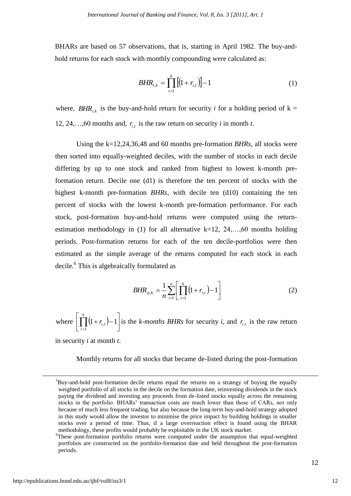BHARs are based on 57 observations, that is, starting in April 1982. The buy-andhold returns for each stock with monthly compounding were calculated as:

$$
BHR_{i,k} = \prod_{t=1}^{k} [(1+r_{i,t})] - 1 \tag{1}
$$

where,  $BHR_{i,k}$  is the buy-and-hold return for security *i* for a holding period of  $k =$ 12, 24,...,60 months and,  $r_{i,t}$  is the raw return on security *i* in month *t*.

Using the k=12,24,36,48 and 60 months pre-formation *BHRs*, all stocks were then sorted into equally-weighted deciles, with the number of stocks in each decile differing by up to one stock and ranked from highest to lowest k-month preformation return. Decile one (d1) is therefore the ten percent of stocks with the highest k-month pre-formation *BHRs*, with decile ten (d10) containing the ten percent of stocks with the lowest k-month pre-formation performance. For each stock, post-formation buy-and-hold returns were computed using the returnestimation methodology in (1) for all alternative  $k=12, 24, \ldots, 60$  months holding periods. Post-formation returns for each of the ten decile-portfolios were then estimated as the simple average of the returns computed for each stock in each decile. 6 This is algebraically formulated as

$$
BHR_{p,k} = \frac{1}{n} \sum_{i=1}^{n} \left[ \prod_{t=1}^{k} \left( 1 + r_{i,t} \right) - 1 \right]
$$
 (2)

where  $\left[ \prod_{t=1} (1 + r_{i,t}) - 1 \right]$  $\overline{\phantom{a}}$  $\left[ \prod_{t=1}^k \left( 1 + r_{i,t} \right) - \right]$  $(1 + r_{i,t}) - 1$ 1 , *k t*  $r_{i,t}$ )-1 is the *k-months BHRs* for security *i*, and  $r_{i,t}$  is the raw return

in security *i* at month *t*.

Monthly returns for all stocks that became de-listed during the post-formation

<u>.</u>

<sup>&</sup>lt;sup>5</sup>Buy-and-hold post-formation decile returns equal the returns on a strategy of buying the equally weighted portfolio of all stocks in the decile on the formation date, reinvesting dividends in the stock paying the dividend and investing any proceeds from de-listed stocks equally across the remaining stocks in the portfolio. BHARs' transaction costs are much lower than those of CARs, not only because of much less frequent trading, but also because the long-term buy-and-hold strategy adopted in this study would allow the investor to minimise the price impact by building holdings in smaller stocks over a period of time. Thus, if a large overreaction effect is found using the BHAR methodology, these profits would probably be exploitable in the UK stock market.

<sup>6</sup>These post-formation portfolio returns were computed under the assumption that equal-weighted portfolios are constructed on the portfolio-formation date and held throughout the post-formation periods.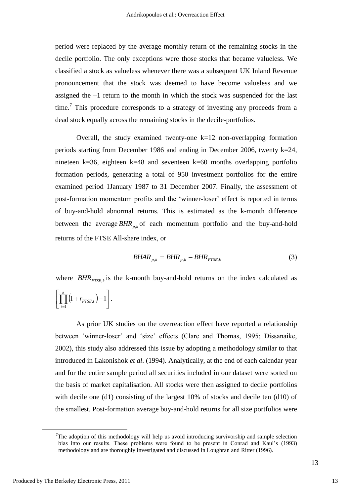period were replaced by the average monthly return of the remaining stocks in the decile portfolio. The only exceptions were those stocks that became valueless. We classified a stock as valueless whenever there was a subsequent UK Inland Revenue pronouncement that the stock was deemed to have become valueless and we assigned the –1 return to the month in which the stock was suspended for the last time.<sup>7</sup> This procedure corresponds to a strategy of investing any proceeds from a dead stock equally across the remaining stocks in the decile-portfolios.

Overall, the study examined twenty-one  $k=12$  non-overlapping formation periods starting from December 1986 and ending in December 2006, twenty k=24, nineteen k=36*,* eighteen k=48 and seventeen k=60 months overlapping portfolio formation periods, generating a total of 950 investment portfolios for the entire examined period 1January 1987 to 31 December 2007. Finally, the assessment of post-formation momentum profits and the "winner-loser" effect is reported in terms of buy-and-hold abnormal returns. This is estimated as the k-month difference between the average  $BHR_{p,k}$  of each momentum portfolio and the buy-and-hold returns of the FTSE All-share index, or

$$
B H A R_{p,k} = B H R_{p,k} - B H R_{FTSE,k} \tag{3}
$$

where  $BHR_{FTSE,k}$  is the k-month buy-and-hold returns on the index calculated as

$$
\left[\prod_{t=1}^k\left(1+r_{FTSE,t}\right)-1\right].
$$

As prior UK studies on the overreaction effect have reported a relationship between "winner-loser" and "size" effects (Clare and Thomas, 1995; Dissanaike, 2002), this study also addressed this issue by adopting a methodology similar to that introduced in Lakonishok *et al*. (1994). Analytically, at the end of each calendar year and for the entire sample period all securities included in our dataset were sorted on the basis of market capitalisation. All stocks were then assigned to decile portfolios with decile one (d1) consisting of the largest 10% of stocks and decile ten (d10) of the smallest. Post-formation average buy-and-hold returns for all size portfolios were

<u>.</u>

<sup>&</sup>lt;sup>7</sup>The adoption of this methodology will help us avoid introducing survivorship and sample selection bias into our results. These problems were found to be present in Conrad and Kaul"s (1993) methodology and are thoroughly investigated and discussed in Loughran and Ritter (1996).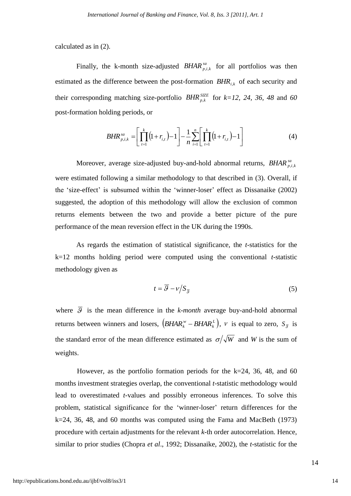calculated as in (2).

Finally, the k-month size-adjusted *BHAR*<sup>*sa*</sup><sub>*p,i,k*</sub> for all portfolios was then estimated as the difference between the post-formation  $BHR_{i,k}$  of each security and their corresponding matching size-portfolio  $BHR_{p,k}^{SIZE}$  for  $k=12, 24, 36, 48$  and 60 post-formation holding periods, or

$$
BHR_{p,i,k}^{sa} = \left[ \prod_{t=1}^{k} \left( 1 + r_{i,t} \right) - 1 \right] - \frac{1}{n} \sum_{i=1}^{n} \left[ \prod_{t=1}^{k} \left( 1 + r_{i,t} \right) - 1 \right] \tag{4}
$$

Moreover, average size-adjusted buy-and-hold abnormal returns,  $BHAR_{p,i,k}^{sa}$ were estimated following a similar methodology to that described in (3). Overall, if the "size-effect" is subsumed within the "winner-loser" effect as Dissanaike (2002) suggested, the adoption of this methodology will allow the exclusion of common returns elements between the two and provide a better picture of the pure performance of the mean reversion effect in the UK during the 1990s.

As regards the estimation of statistical significance, the *t*-statistics for the k=12 months holding period were computed using the conventional *t*-statistic methodology given as

$$
t = \overline{\mathcal{G}} - \nu / S_{\overline{\mathcal{G}}}
$$
 (5)

where  $\overline{S}$  is the mean difference in the *k-month* average buy-and-hold abnormal returns between winners and losers,  $(BHAR_k^{\nu} - BHAR_k^L)$ , *BHAR*<sup>*w*</sup> – *BHAR*<sup>*k*</sup></sup>,  $\nu$  is equal to zero,  $S_{\bar{g}}$  is the standard error of the mean difference estimated as  $\sigma/\sqrt{W}$  and *W* is the sum of weights.

However, as the portfolio formation periods for the  $k=24$ , 36, 48, and 60 months investment strategies overlap, the conventional *t-*statistic methodology would lead to overestimated *t-*values and possibly erroneous inferences. To solve this problem, statistical significance for the "winner-loser" return differences for the  $k=24$ , 36, 48, and 60 months was computed using the Fama and MacBeth (1973) procedure with certain adjustments for the relevant *k-*th order autocorrelation. Hence, similar to prior studies (Chopra *et al*., 1992; Dissanaike, 2002), the *t-*statistic for the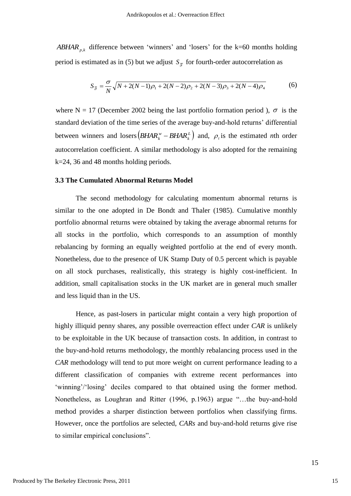$ABHAR_{n,k}$  difference between 'winners' and 'losers' for the k=60 months holding period is estimated as in (5) but we adjust  $S_{\overline{g}}$  for fourth-order autocorrelation as

$$
S_{\bar{g}} = \frac{\sigma}{N} \sqrt{N + 2(N - 1)\rho_1 + 2(N - 2)\rho_2 + 2(N - 3)\rho_3 + 2(N - 4)\rho_4}
$$
(6)

where N = 17 (December 2002 being the last portfolio formation period),  $\sigma$  is the standard deviation of the time series of the average buy-and-hold returns" differential between winners and losers  $(BHAR_k^{\nu} - BHAR_k^{\nu})$ *BHAR*<sup>*w*</sup> – *BHAR*<sup>*L*</sup></sup> $)$  and,  $\rho$ <sub>*i*</sub> is the estimated *n*th order autocorrelation coefficient. A similar methodology is also adopted for the remaining k=24, 36 and 48 months holding periods.

#### **3.3 The Cumulated Abnormal Returns Model**

The second methodology for calculating momentum abnormal returns is similar to the one adopted in De Bondt and Thaler (1985). Cumulative monthly portfolio abnormal returns were obtained by taking the average abnormal returns for all stocks in the portfolio, which corresponds to an assumption of monthly rebalancing by forming an equally weighted portfolio at the end of every month. Nonetheless, due to the presence of UK Stamp Duty of 0.5 percent which is payable on all stock purchases, realistically, this strategy is highly cost-inefficient. In addition, small capitalisation stocks in the UK market are in general much smaller and less liquid than in the US.

*ABHAR<sub>P</sub>*, difference between 'winners' and 'losers' for the k=60 months holding<br>
period is estimated as in (5) but we adjust  $S_p$  for fourth-order autocorrelation as<br>  $S_2 = \frac{\sigma}{N} \sqrt{N - 2(N - 3)} \rho_1 - 2(N - 3) \rho_2 + 2(N - 3) \rho_3$ Hence, as past-losers in particular might contain a very high proportion of highly illiquid penny shares, any possible overreaction effect under *CAR* is unlikely to be exploitable in the UK because of transaction costs. In addition, in contrast to the buy-and-hold returns methodology, the monthly rebalancing process used in the *CAR* methodology will tend to put more weight on current performance leading to a different classification of companies with extreme recent performances into 'winning'/'losing' deciles compared to that obtained using the former method. Nonetheless, as Loughran and Ritter (1996, p.1963) argue "…the buy-and-hold method provides a sharper distinction between portfolios when classifying firms. However, once the portfolios are selected, *CARs* and buy-and-hold returns give rise to similar empirical conclusions".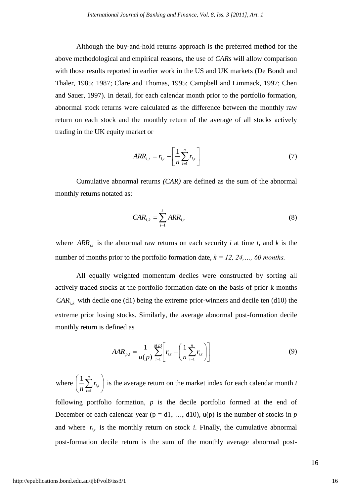Although the buy-and-hold returns approach is the preferred method for the above methodological and empirical reasons, the use of *CARs* will allow comparison with those results reported in earlier work in the US and UK markets (De Bondt and Thaler, 1985; 1987; Clare and Thomas, 1995; Campbell and Limmack, 1997; Chen and Sauer, 1997). In detail, for each calendar month prior to the portfolio formation, abnormal stock returns were calculated as the difference between the monthly raw return on each stock and the monthly return of the average of all stocks actively trading in the UK equity market or

$$
ARR_{i,t} = r_{i,t} - \left[\frac{1}{n}\sum_{i=1}^{n}r_{i,t}\right]
$$
 (7)

Cumulative abnormal returns *(CAR)* are defined as the sum of the abnormal monthly returns notated as:

$$
CAR_{i,k} = \sum_{i=1}^{k}ARR_{i,t}
$$
 (8)

where  $ARR_{i,t}$  is the abnormal raw returns on each security *i* at time *t*, and *k* is the number of months prior to the portfolio formation date, *k = 12, 24,…, 60 months.* 

All equally weighted momentum deciles were constructed by sorting all actively-traded stocks at the portfolio formation date on the basis of prior k-months  $CAR_{i,k}$  with decile one (d1) being the extreme prior-winners and decile ten (d10) the extreme prior losing stocks. Similarly, the average abnormal post-formation decile monthly return is defined as

$$
AAR_{p,t} = \frac{1}{u(p)} \sum_{i=1}^{u(p)} \left[ r_{i,t} - \left( \frac{1}{n} \sum_{i=1}^{n} r_{i,t} \right) \right] \tag{9}
$$

where  $\left| \frac{1}{r} \sum r_{i,t} \right|$ J  $\left(\frac{1}{r}\right)_{i}^{n}$  $\setminus$  $\left(\frac{1}{n}\sum_{i=1}^n\right)$ *i*  $r_{i,t}$  $\overline{n}$   $\sum_{i=1}^{\infty}$ <sup> $t_i$ </sup>  $\left( \frac{1}{n} \sum_{i=1}^{n} r_{i} \right)$  is the average return on the market index for each calendar month *t* following portfolio formation, *p* is the decile portfolio formed at the end of December of each calendar year ( $p = d1, ..., d10$ ),  $u(p)$  is the number of stocks in *p* and where  $r_{i,t}$  is the monthly return on stock *i*. Finally, the cumulative abnormal post-formation decile return is the sum of the monthly average abnormal post-

16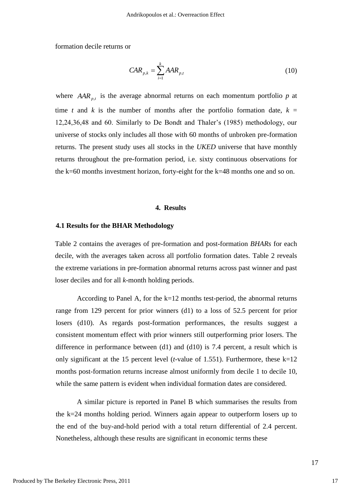formation decile returns or

$$
CAR_{p,k} = \sum_{i=1}^{k} AAR_{p,t} \tag{10}
$$

where  $AAR_{p,t}$  is the average abnormal returns on each momentum portfolio  $p$  at time *t* and *k* is the number of months after the portfolio formation date,  $k =$ 12,24,36,48 and 60. Similarly to De Bondt and Thaler"s (1985) methodology, our universe of stocks only includes all those with 60 months of unbroken pre-formation returns. The present study uses all stocks in the *UKED* universe that have monthly returns throughout the pre-formation period, i.e. sixty continuous observations for the k=60 months investment horizon, forty-eight for the k=48 months one and so on.

#### **4. Results**

#### **4.1 Results for the BHAR Methodology**

Table 2 contains the averages of pre-formation and post-formation *BHARs* for each decile, with the averages taken across all portfolio formation dates. Table 2 reveals the extreme variations in pre-formation abnormal returns across past winner and past loser deciles and for all *k-*month holding periods.

According to Panel A, for the  $k=12$  months test-period, the abnormal returns range from 129 percent for prior winners (d1) to a loss of 52.5 percent for prior losers (d10). As regards post-formation performances, the results suggest a consistent momentum effect with prior winners still outperforming prior losers. The difference in performance between (d1) and (d10) is 7.4 percent, a result which is only significant at the 15 percent level (*t-*value of 1.551). Furthermore, these k=12 months post-formation returns increase almost uniformly from decile 1 to decile 10, while the same pattern is evident when individual formation dates are considered.

A similar picture is reported in Panel B which summarises the results from the k=24 months holding period. Winners again appear to outperform losers up to the end of the buy-and-hold period with a total return differential of 2.4 percent. Nonetheless, although these results are significant in economic terms these

17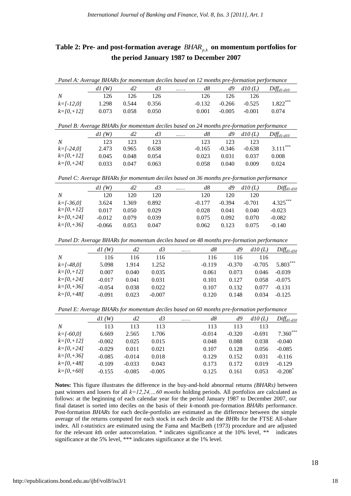# **Table 2: Pre- and post-formation average**  *BHARp*,*<sup>k</sup>* **on momentum portfolios for the period January 1987 to December 2007**

| Panel A: Average BHARs for momentum deciles based on 12 months pre-formation performance |       |       |       |                 |          |          |                 |                                                  |  |  |  |
|------------------------------------------------------------------------------------------|-------|-------|-------|-----------------|----------|----------|-----------------|--------------------------------------------------|--|--|--|
|                                                                                          | dI(W) | d2    | d3    | $\ldots \ldots$ | d8       |          |                 | $d9 \quad d10 \, (L) \quad \text{Diff}_{d1-d10}$ |  |  |  |
| $\overline{N}$                                                                           | 126   | 126   | 126   |                 | 126.     | -126     | -126            |                                                  |  |  |  |
| $k=$ $\lceil -12.01 \rceil$                                                              | 1.298 | 0.544 | 0.356 |                 | $-0.132$ |          | $-0.266 -0.525$ | $1.822***$                                       |  |  |  |
| $k=$ [0, + 12]                                                                           | 0.073 | 0.058 | 0.050 |                 | 0.001    | $-0.005$ | $-0.001$        | 0.074                                            |  |  |  |

|  |  | Panel B: Average BHARs for momentum deciles based on 24 months pre-formation performance |  |  |  |
|--|--|------------------------------------------------------------------------------------------|--|--|--|
|--|--|------------------------------------------------------------------------------------------|--|--|--|

|                | dI(W) | ď2    | d3    | . | d8       | d9       | d10(L)   | $Diff_{d1-d10}$ |
|----------------|-------|-------|-------|---|----------|----------|----------|-----------------|
| N              | 123   | 123   | 123   |   | 123      | 123      | 123      |                 |
| $k=$ [-24,0]   | 2.473 | 0.965 | 0.638 |   | $-0.165$ | $-0.346$ | $-0.638$ | $3.111***$      |
| $k=$ [0, + 12] | 0.045 | 0.048 | 0.054 |   | 0.023    | 0.031    | 0.037    | 0.008           |
| $k=$ [0,+24]   | 0.033 | 0.047 | 0.063 |   | 0.058    | 0.040    | 0.009    | 0.024           |

*Panel C: Average BHARs for momentum deciles based on 36 months pre-formation performance*

|                | (W)<br>dI | d2    | d3    | <br>d8   | d9       | d10(L)   | ${\rm \emph{Diff}}_{d1\text{-}d10}$ |
|----------------|-----------|-------|-------|----------|----------|----------|-------------------------------------|
| N              | 120       | 120   | 120   | 120      | 120      | 120      |                                     |
| $k=$ [-36,0]   | 3.624     | 1.369 | 0.892 | $-0.177$ | $-0.394$ | $-0.701$ | $4.325***$                          |
| $k=$ [0, + 12] | 0.017     | 0.050 | 0.029 | 0.028    | 0.041    | 0.040    | $-0.023$                            |
| $k=$ [0, +24]  | $-0.012$  | 0.079 | 0.039 | 0.075    | 0.092    | 0.070    | $-0.082$                            |
| $k=$ [0, +36]  | $-0.066$  | 0.053 | 0.047 | 0.062    | 0.123    | 0.075    | $-0.140$                            |

*Panel D: Average BHARs for momentum deciles based on 48 months pre-formation performance*

|                | dI(W)    | d2    | d3       | . | d8       | d9       | d10(L)   | $Diff_{d1-d10}$ |
|----------------|----------|-------|----------|---|----------|----------|----------|-----------------|
| N              | 116      | 116   | 116      |   | 116      | 116      | 116      |                 |
| $k=$ [-48,0]   | 5.098    | 1.914 | 1.252    |   | $-0.119$ | $-0.370$ | $-0.705$ | 5.803***        |
| $k=$ [0, + 12] | 0.007    | 0.040 | 0.035    |   | 0.061    | 0.073    | 0.046    | $-0.039$        |
| $k=$ [0, +24]  | $-0.017$ | 0.041 | 0.031    |   | 0.101    | 0.127    | 0.058    | $-0.075$        |
| $k=$ [0, +36]  | $-0.054$ | 0.038 | 0.022    |   | 0.107    | 0.132    | 0.077    | $-0.131$        |
| $k = [0, +48]$ | $-0.091$ | 0.023 | $-0.007$ |   | 0.120    | 0.148    | 0.034    | $-0.125$        |

*Panel E: Average BHARs for momentum deciles based on 60 months pre-formation performance*

|                | dI(W)    | d2       | d3       | . | d8       | d9       | d10(L)   | $Diff_{d1-d10}$       |
|----------------|----------|----------|----------|---|----------|----------|----------|-----------------------|
| N              | 113      | 113      | 113      |   | 113      | 113      | 113      |                       |
| $k=$ [-60,0]   | 6.669    | 2.565    | 1.706    |   | $-0.014$ | $-0.320$ | $-0.691$ | $7.360***$            |
| $k = [0, +12]$ | $-0.002$ | 0.025    | 0.015    |   | 0.048    | 0.088    | 0.038    | $-0.040$              |
| $k=$ [0, +24]  | $-0.029$ | 0.011    | 0.021    |   | 0.107    | 0.128    | 0.056    | $-0.085$              |
| $k=$ [0, +36]  | $-0.085$ | $-0.014$ | 0.018    |   | 0.129    | 0.152    | 0.031    | $-0.116$              |
| $k = 10, +481$ | $-0.109$ | $-0.033$ | 0.043    |   | 0.173    | 0.172    | 0.019    | $-0.129$              |
| $k=$ [0,+60]   | $-0.155$ | $-0.085$ | $-0.005$ |   | 0.125    | 0.161    | 0.053    | $-0.208$ <sup>*</sup> |

**Notes:** This figure illustrates the difference in the buy-and-hold abnormal returns *(BHARs)* between past winners and losers for all *k=12,24,…60 months* holding periods. All portfolios are calculated as follows: at the beginning of each calendar year for the period January 1987 to December 2007, our final dataset is sorted into deciles on the basis of their *k-*month pre-formation *BHARs* performance. Post-formation *BHARs* for each decile-portfolio are estimated as the difference between the simple average of the returns computed for each stock in each decile and the *BHRs* for the FTSE All-share index. All *t-statistics* are estimated using the Fama and MacBeth (1973) procedure and are adjusted for the relevant *k*th order autocorrelation. \* indicates significance at the 10% level, \*\* indicates significance at the 5% level, \*\*\* indicates significance at the 1% level.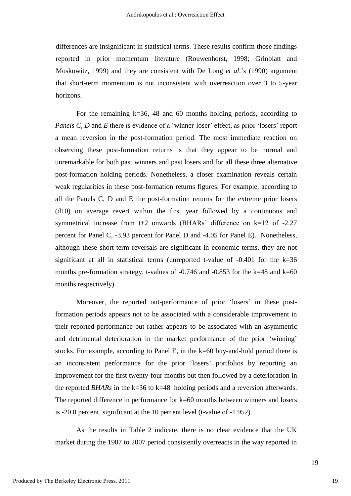differences are insignificant in statistical terms. These results confirm those findings reported in prior momentum literature (Rouwenhorst, 1998; Grinblatt and Moskowitz, 1999) and they are consistent with De Long *et al*."s (1990) argument that short-term momentum is not inconsistent with overreaction over 3 to 5-year horizons.

For the remaining k=36, 48 and 60 months holding periods, according to *Panels C, D* and *E* there is evidence of a 'winner-loser' effect, as prior 'losers' report a mean reversion in the post-formation period. The most immediate reaction on observing these post-formation returns is that they appear to be normal and unremarkable for both past winners and past losers and for all these three alternative post-formation holding periods. Nonetheless, a closer examination reveals certain weak regularities in these post-formation returns figures. For example, according to all the Panels C, D and E the post-formation returns for the extreme prior losers (d10) on average revert within the first year followed by a continuous and symmetrical increase from t+2 onwards (BHARs' difference on  $k=12$  of -2.27 percent for Panel C, -3.93 percent for Panel D and -4.05 for Panel E). Nonetheless, although these short-term reversals are significant in economic terms, they are not significant at all in statistical terms (unreported t-value of -0.401 for the k=36 months pre-formation strategy, t-values of  $-0.746$  and  $-0.853$  for the k=48 and k=60 months respectively).

Moreover, the reported out-performance of prior 'losers' in these postformation periods appears not to be associated with a considerable improvement in their reported performance but rather appears to be associated with an asymmetric and detrimental deterioration in the market performance of the prior "winning" stocks. For example, according to Panel E, in the k=60 buy-and-hold period there is an inconsistent performance for the prior "losers" portfolios by reporting an improvement for the first twenty-four months but then followed by a deterioration in the reported *BHARs* in the k=36 to k=48 holding periods and a reversion afterwards. The reported difference in performance for k=60 months between winners and losers is -20.8 percent, significant at the 10 percent level (t-value of -1.952).

As the results in Table 2 indicate, there is no clear evidence that the UK market during the 1987 to 2007 period consistently overreacts in the way reported in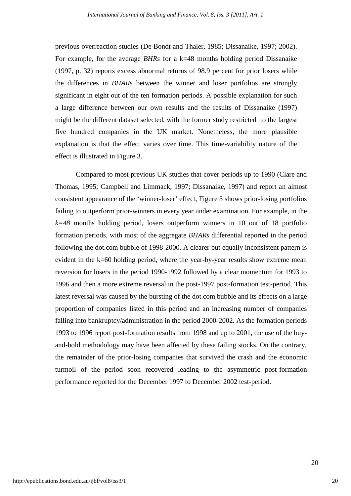previous overreaction studies (De Bondt and Thaler, 1985; Dissanaike, 1997; 2002). For example, for the average *BHRs* for a k=48 months holding period Dissanaike (1997, p. 32) reports excess abnormal returns of 98.9 percent for prior losers while the differences in *BHARs* between the winner and loser portfolios are strongly significant in eight out of the ten formation periods. A possible explanation for such a large difference between our own results and the results of Dissanaike (1997) might be the different dataset selected, with the former study restricted to the largest five hundred companies in the UK market. Nonetheless, the more plausible explanation is that the effect varies over time. This time-variability nature of the effect is illustrated in Figure 3.

Compared to most previous UK studies that cover periods up to 1990 (Clare and Thomas, 1995; Campbell and Limmack, 1997; Dissanaike, 1997) and report an almost consistent appearance of the "winner-loser" effect, Figure 3 shows prior-losing portfolios failing to outperform prior-winners in every year under examination. For example, in the *k=48* months holding period, losers outperform winners in 10 out of 18 portfolio formation periods, with most of the aggregate *BHARs* differential reported in the period following the dot.com bubble of 1998-2000. A clearer but equally inconsistent pattern is evident in the k=60 holding period, where the year-by-year results show extreme mean reversion for losers in the period 1990-1992 followed by a clear momentum for 1993 to 1996 and then a more extreme reversal in the post-1997 post-formation test-period. This latest reversal was caused by the bursting of the dot.com bubble and its effects on a large proportion of companies listed in this period and an increasing number of companies falling into bankruptcy/administration in the period 2000-2002. As the formation periods 1993 to 1996 report post-formation results from 1998 and up to 2001, the use of the buyand-hold methodology may have been affected by these failing stocks. On the contrary, the remainder of the prior-losing companies that survived the crash and the economic turmoil of the period soon recovered leading to the asymmetric post-formation performance reported for the December 1997 to December 2002 test-period.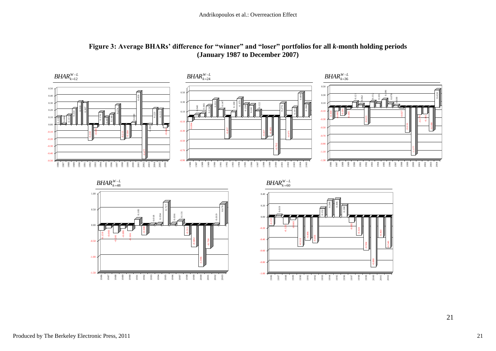

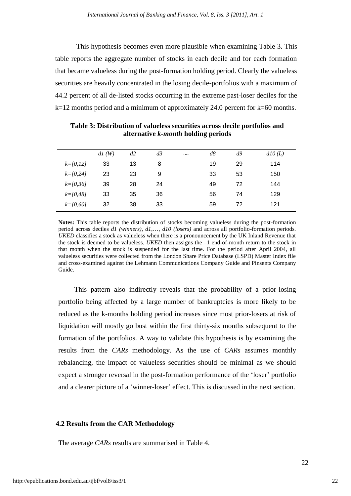This hypothesis becomes even more plausible when examining Table 3. This table reports the aggregate number of stocks in each decile and for each formation that became valueless during the post-formation holding period. Clearly the valueless securities are heavily concentrated in the losing decile-portfolios with a maximum of 44.2 percent of all de-listed stocks occurring in the extreme past-loser deciles for the k=12 months period and a minimum of approximately 24.0 percent for k=60 months.

|               | dI(W) | d2 | d3 | $\cdots$ | d8 | d9 | d10(L) |
|---------------|-------|----|----|----------|----|----|--------|
| $k = [0, 12]$ | 33    | 13 | 8  |          | 19 | 29 | 114    |
| $k = [0, 24]$ | 23    | 23 | 9  |          | 33 | 53 | 150    |
| $k=$ [0,36]   | 39    | 28 | 24 |          | 49 | 72 | 144    |
| $k = [0, 48]$ | 33    | 35 | 36 |          | 56 | 74 | 129    |
| $k = 0.601$   | 32    | 38 | 33 |          | 59 | 72 | 121    |

**Table 3: Distribution of valueless securities across decile portfolios and alternative** *k-month* **holding periods**

**Notes:** This table reports the distribution of stocks becoming valueless during the post-formation period across deciles *d1 (winners)*, *d1*,…, *d10 (losers)* and across all portfolio-formation periods. *UKED* classifies a stock as valueless when there is a pronouncement by the UK Inland Revenue that the stock is deemed to be valueless. *UKED* then assigns the –1 end-of-month return to the stock in that month when the stock is suspended for the last time. For the period after April 2004, all valueless securities were collected from the London Share Price Database (LSPD) Master Index file and cross-examined against the Lehmann Communications Company Guide and Pinsents Company Guide.

This pattern also indirectly reveals that the probability of a prior-losing portfolio being affected by a large number of bankruptcies is more likely to be reduced as the k-months holding period increases since most prior-losers at risk of liquidation will mostly go bust within the first thirty-six months subsequent to the formation of the portfolios. A way to validate this hypothesis is by examining the results from the *CARs* methodology. As the use of *CARs* assumes monthly rebalancing, the impact of valueless securities should be minimal as we should expect a stronger reversal in the post-formation performance of the "loser" portfolio and a clearer picture of a 'winner-loser' effect. This is discussed in the next section.

#### **4.2 Results from the CAR Methodology**

The average *CARs* results are summarised in Table 4.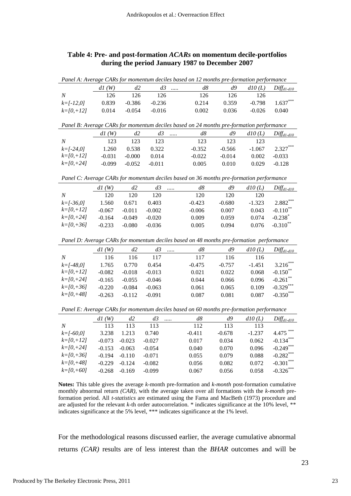# **Table 4: Pre- and post-formation** *ACARs* **on momentum decile-portfolios during the period January 1987 to December 2007**

| Panel A: Average CARs for momentum deciles based on 12 months pre-formation performance |          |          |                 |   |          |          |          |                        |
|-----------------------------------------------------------------------------------------|----------|----------|-----------------|---|----------|----------|----------|------------------------|
|                                                                                         | d1(W)    | d2       | d3              |   | d8       | d9       | d10(L)   | $Diff_{d1-d10}$        |
| $\cal N$                                                                                | 126      | 126      | 126             |   | 126      | 126      | 126      |                        |
| $k=[-12,0]$                                                                             | 0.839    | $-0.386$ | $-0.236$        |   | 0.214    | 0.359    | $-0.798$ | 1.637                  |
| $k=[0,+12]$                                                                             | 0.014    | $-0.054$ | $-0.016$        |   | 0.002    | 0.036    | $-0.026$ | 0.040                  |
|                                                                                         |          |          |                 |   |          |          |          |                        |
| Panel B: Average CARs for momentum deciles based on 24 months pre-formation performance |          |          |                 |   |          |          |          |                        |
|                                                                                         | d1(W)    | d2       | d3              |   | d8       | d9       | d10(L)   | $Diff_{d1-d10}$        |
| $\cal N$                                                                                | 123      | 123      | 123             |   | 123      | 123      | 123      |                        |
| $k = [-24, 0]$                                                                          | 1.260    | 0.538    | 0.322           |   | $-0.352$ | $-0.566$ | $-1.067$ | $2.327***$             |
| $k=[0,+12]$                                                                             | $-0.031$ | $-0.000$ | 0.014           |   | $-0.022$ | $-0.014$ | 0.002    | $-0.033$               |
| $k=[0,+24]$                                                                             | $-0.099$ | $-0.052$ | $-0.011$        |   | 0.005    | 0.010    | 0.029    | $-0.128$               |
|                                                                                         |          |          |                 |   |          |          |          |                        |
| Panel C: Average CARs for momentum deciles based on 36 months pre-formation performance |          |          |                 |   |          |          |          |                        |
|                                                                                         | d1(W)    | d2       | d3              | . | d8       | d9       | d10(L)   | $Diff_{d1-d10}$        |
| $\boldsymbol{N}$                                                                        | 120      | 120      | 120             |   | 120      | 120      | 120      |                        |
| $k=[-36,0]$                                                                             | 1.560    | 0.671    | 0.403           |   | $-0.423$ | $-0.680$ | $-1.323$ | $2.882***$             |
| $k=[0,+12]$                                                                             | $-0.067$ | $-0.011$ | $-0.002$        |   | $-0.006$ | 0.007    | 0.043    | $-0.110$ <sup>*</sup>  |
| $k=[0,+24]$                                                                             | $-0.164$ | $-0.049$ | $-0.020$        |   | 0.009    | 0.059    | 0.074    | $-0.238$ <sup>*</sup>  |
| $k=[0, +36]$                                                                            | $-0.233$ | $-0.080$ | $-0.036$        |   | 0.005    | 0.094    | 0.076    | $-0.310$ **            |
|                                                                                         |          |          |                 |   |          |          |          |                        |
| Panel D: Average CARs for momentum deciles based on 48 months pre-formation performance |          |          |                 |   |          |          |          |                        |
|                                                                                         | d1(W)    | d2       | d3              |   | d8       | d9       | d10(L)   | Diff <sub>d1-d10</sub> |
| $\boldsymbol{N}$                                                                        | 116      | 116      | 117             |   | 117      | 116      | 116      |                        |
| $k = [-48, 0]$                                                                          | 1.765    | 0.770    | 0.454           |   | $-0.475$ | $-0.757$ | $-1.451$ | $3.216***$             |
| $k=[0,+12]$                                                                             | $-0.082$ | $-0.018$ | $-0.013$        |   | 0.021    | 0.022    | 0.068    | $-0.150$ <sup>**</sup> |
| $k=[0,+24]$                                                                             | $-0.165$ | $-0.055$ | $-0.046$        |   | 0.044    | 0.066    | 0.096    | $-0.261$ **            |
| $k = [0, +36]$                                                                          | $-0.220$ | $-0.084$ | $-0.063$        |   | 0.061    | 0.065    | 0.109    | $-0.329***$            |
| $k = [0, +48]$                                                                          | $-0.263$ | $-0.112$ | $-0.091$        |   | 0.087    | 0.081    | 0.087    | $-0.350***$            |
|                                                                                         |          |          |                 |   |          |          |          |                        |
| Panel E: Average CARs for momentum deciles based on 60 months pre-formation performance |          |          |                 |   |          |          |          |                        |
|                                                                                         | d1(W)    | d2       | $d\mathfrak{Z}$ |   | d8       | d9       | d10(L)   | $Diff_{d1-d10}$        |
| $\overline{N}$                                                                          | 113      | 113      | 113             |   | 112      | 113      | 113      |                        |
| $k=[-60,0]$                                                                             | 3.238    | 1.213    | 0.740           |   | $-0.411$ | $-0.678$ | $-1.237$ | 4.475                  |
| $k=[0,+12]$                                                                             | $-0.073$ | $-0.023$ | $-0.027$        |   | 0.017    | 0.034    | 0.062    | $-0.134***$            |
| $k=[0,+24]$                                                                             | $-0.153$ | $-0.063$ | $-0.054$        |   | 0.040    | 0.070    | 0.096    | $-0.249***$            |
| $k=[0, +36]$                                                                            | $-0.194$ | $-0.110$ | $-0.071$        |   | 0.055    | 0.079    | 0.088    | $-0.282***$            |
| $k=[0, +48]$                                                                            | $-0.229$ | $-0.124$ | $-0.082$        |   | 0.056    | 0.082    | 0.072    | $-0.301$               |
| $k=[0, +60]$                                                                            | $-0.268$ | $-0.169$ | $-0.099$        |   | 0.067    | 0.056    | 0.058    | $-0.326$ ***           |

**Notes:** This table gives the average *k*-month pre-formation and *k-month* post-formation cumulative monthly abnormal return *(CAR)*, with the average taken over all formations with the *k-month* preformation period. All *t-statistics* are estimated using the Fama and MacBeth (1973) procedure and are adjusted for the relevant *k-*th order autocorrelation. \* indicates significance at the 10% level, \*\* indicates significance at the 5% level, \*\*\* indicates significance at the 1% level.

For the methodological reasons discussed earlier, the average cumulative abnormal returns *(CAR)* results are of less interest than the *BHAR* outcomes and will be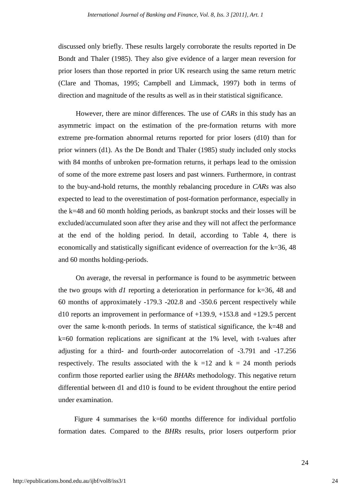discussed only briefly. These results largely corroborate the results reported in De Bondt and Thaler (1985). They also give evidence of a larger mean reversion for prior losers than those reported in prior UK research using the same return metric (Clare and Thomas, 1995; Campbell and Limmack, 1997) both in terms of direction and magnitude of the results as well as in their statistical significance.

However, there are minor differences. The use of *CARs* in this study has an asymmetric impact on the estimation of the pre-formation returns with more extreme pre-formation abnormal returns reported for prior losers (d10) than for prior winners (d1). As the De Bondt and Thaler (1985) study included only stocks with 84 months of unbroken pre-formation returns, it perhaps lead to the omission of some of the more extreme past losers and past winners. Furthermore, in contrast to the buy-and-hold returns, the monthly rebalancing procedure in *CARs* was also expected to lead to the overestimation of post-formation performance, especially in the k=48 and 60 month holding periods, as bankrupt stocks and their losses will be excluded/accumulated soon after they arise and they will not affect the performance at the end of the holding period. In detail, according to Table 4, there is economically and statistically significant evidence of overreaction for the k=36, 48 and 60 months holding-periods.

On average, the reversal in performance is found to be asymmetric between the two groups with *d1* reporting a deterioration in performance for k=36, 48 and 60 months of approximately -179.3 -202.8 and -350.6 percent respectively while d10 reports an improvement in performance of  $+139.9$ ,  $+153.8$  and  $+129.5$  percent over the same k-month periods. In terms of statistical significance, the k=48 and k=60 formation replications are significant at the 1% level, with t-values after adjusting for a third- and fourth-order autocorrelation of -3.791 and -17.256 respectively. The results associated with the  $k = 12$  and  $k = 24$  month periods confirm those reported earlier using the *BHARs* methodology. This negative return differential between d1 and d10 is found to be evident throughout the entire period under examination.

Figure 4 summarises the k=60 months difference for individual portfolio formation dates. Compared to the *BHRs* results, prior losers outperform prior

24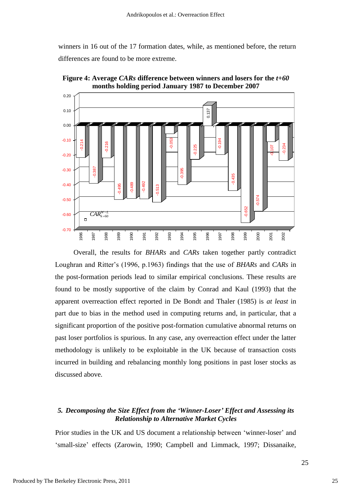winners in 16 out of the 17 formation dates, while, as mentioned before, the return differences are found to be more extreme.



**Figure 4: Average** *CARs* **difference between winners and losers for the** *t+60*  **months holding period January 1987 to December 2007**

Overall, the results for *BHARs* and *CARs* taken together partly contradict Loughran and Ritter"s (1996, p.1963) findings that the use of *BHARs* and *CARs* in the post-formation periods lead to similar empirical conclusions. These results are found to be mostly supportive of the claim by Conrad and Kaul (1993) that the apparent overreaction effect reported in De Bondt and Thaler (1985) is *at least* in part due to bias in the method used in computing returns and, in particular, that a significant proportion of the positive post-formation cumulative abnormal returns on past loser portfolios is spurious. In any case, any overreaction effect under the latter methodology is unlikely to be exploitable in the UK because of transaction costs incurred in building and rebalancing monthly long positions in past loser stocks as discussed above.

# *5. Decomposing the Size Effect from the "Winner-Loser" Effect and Assessing its Relationship to Alternative Market Cycles*

Prior studies in the UK and US document a relationship between "winner-loser" and 'small-size' effects (Zarowin, 1990; Campbell and Limmack, 1997; Dissanaike,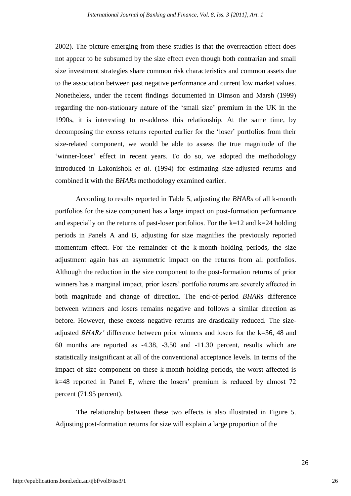2002). The picture emerging from these studies is that the overreaction effect does not appear to be subsumed by the size effect even though both contrarian and small size investment strategies share common risk characteristics and common assets due to the association between past negative performance and current low market values. Nonetheless, under the recent findings documented in Dimson and Marsh (1999) regarding the non-stationary nature of the "small size" premium in the UK in the 1990s, it is interesting to re-address this relationship. At the same time, by decomposing the excess returns reported earlier for the "loser" portfolios from their size-related component, we would be able to assess the true magnitude of the 'winner-loser' effect in recent years. To do so, we adopted the methodology introduced in Lakonishok *et al*. (1994) for estimating size-adjusted returns and combined it with the *BHARs* methodology examined earlier.

According to results reported in Table 5, adjusting the *BHARs* of all k-month portfolios for the size component has a large impact on post-formation performance and especially on the returns of past-loser portfolios. For the  $k=12$  and  $k=24$  holding periods in Panels A and B, adjusting for size magnifies the previously reported momentum effect. For the remainder of the k-month holding periods, the size adjustment again has an asymmetric impact on the returns from all portfolios. Although the reduction in the size component to the post-formation returns of prior winners has a marginal impact, prior losers' portfolio returns are severely affected in both magnitude and change of direction. The end-of-period *BHARs* difference between winners and losers remains negative and follows a similar direction as before. However, these excess negative returns are drastically reduced. The sizeadjusted *BHARs'* difference between prior winners and losers for the k=36, 48 and 60 months are reported as -4.38, -3.50 and -11.30 percent, results which are statistically insignificant at all of the conventional acceptance levels. In terms of the impact of size component on these k-month holding periods, the worst affected is  $k=48$  reported in Panel E, where the losers' premium is reduced by almost 72 percent (71.95 percent).

The relationship between these two effects is also illustrated in Figure 5. Adjusting post-formation returns for size will explain a large proportion of the

26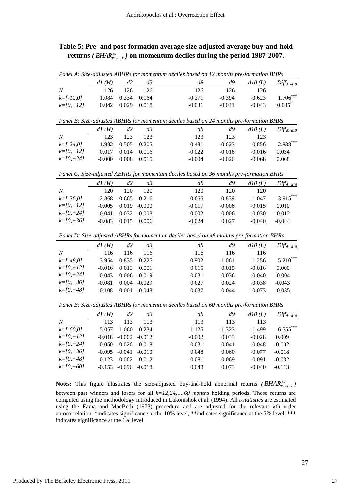# **Table 5: Pre- and post-formation average size-adjusted average buy-and-hold returns** *( sa BHAR<sup>W</sup> L*,*<sup>k</sup> )* **on momentum deciles during the period 1987-2007.**

|                  |       |             |       | Panel A: Size-adjusted ABHRs for momentum deciles based on 12 months pre-formation BHRs |          |          |                      |
|------------------|-------|-------------|-------|-----------------------------------------------------------------------------------------|----------|----------|----------------------|
|                  | dI(W) | ď2          | $d_2$ | d8                                                                                      | d9       | d10(L)   | $Diff_{d1-d10}$      |
| $\boldsymbol{N}$ | 126   | 126         | 126   | 126                                                                                     | 126      | 126      |                      |
| $k=$ $l-12.01$   | 1.084 | 0.334 0.164 |       | $-0.271$                                                                                | $-0.394$ | $-0.623$ | $1.706***$           |
| $k=$ [0, + 12]   | 0.042 | 0.029       | 0.018 | -0.031                                                                                  | $-0.041$ | $-0.043$ | $0.085$ <sup>*</sup> |

|                | dI(W)    | ď2                | d3    | d8       | d9       | d10(L)   | $Diff_{d1-d10}$ |
|----------------|----------|-------------------|-------|----------|----------|----------|-----------------|
| $\overline{N}$ | 123      | 123               | 123   | 123      | 123      | 123      |                 |
| $k=$ [-24,0]   |          | 1.982 0.505 0.205 |       | $-0.481$ | $-0.623$ | $-0.856$ | $2.838***$      |
| $k=$ [0, + 12] | 0.017    | 0.014 0.016       |       | $-0.022$ | $-0.016$ | $-0.016$ | 0.034           |
| $k=$ [0,+24]   | $-0.000$ | 0.008             | 0.015 | $-0.004$ | $-0.026$ | $-0.068$ | 0.068           |

*Panel C: Size-adjusted ABHRs for momentum deciles based on 36 months pre-formation BHRs*

| $Diff_{d1-d10}$ |
|-----------------|
|                 |
| $3.915***$      |
| 0.010           |
| $-0.012$        |
| $-0.044$        |
|                 |

*Panel D: Size-adjusted ABHRs for momentum deciles based on 48 months pre-formation BHRs*

|                | d1(W)    | d2    | d3       | d8       | d9       | d10(L)   | $Diff_{d1-d10}$ |
|----------------|----------|-------|----------|----------|----------|----------|-----------------|
| N              | 116      | 116   | 116      | 116      | 116      | 116      |                 |
| $k=$ [-48,0]   | 3.954    | 0.835 | 0.225    | $-0.902$ | $-1.061$ | $-1.256$ | $5.210***$      |
| $k=$ [0, + 12] | $-0.016$ | 0.013 | 0.001    | 0.015    | 0.015    | $-0.016$ | 0.000           |
| $k=$ [0, +24]  | $-0.043$ | 0.006 | $-0.019$ | 0.031    | 0.036    | $-0.040$ | $-0.004$        |
| $k=$ [0, +36]  | $-0.081$ | 0.004 | $-0.029$ | 0.027    | 0.024    | $-0.038$ | $-0.043$        |
| $k = 10, +481$ | $-0.108$ | 0.001 | $-0.048$ | 0.037    | 0.044    | $-0.073$ | $-0.035$        |
|                |          |       |          |          |          |          |                 |

*Panel E: Size-adjusted ABHRs for momentum deciles based on 60 months pre-formation BHRs*

|                | dI(W)    | d2       | d3               | d8       | d9       | d10(L)   | $Diff_{d1-d10}$ |
|----------------|----------|----------|------------------|----------|----------|----------|-----------------|
| N              | 113      | 113      | 113              | 113      | 113      | 113      |                 |
| $k=$ [-60,0]   | 5.057    | 1.060    | 0.234            | $-1.125$ | $-1.323$ | $-1.499$ | $6.555***$      |
| $k=$ [0, +12]  | $-0.018$ | $-0.002$ | $-0.012$         | $-0.002$ | 0.033    | $-0.028$ | 0.009           |
| $k=$ [0, +24]  | -0.050   |          | $-0.026 - 0.018$ | 0.031    | 0.041    | $-0.048$ | $-0.002$        |
| $k=$ [0, +36]  | $-0.095$ | $-0.041$ | $-0.010$         | 0.048    | 0.060    | $-0.077$ | $-0.018$        |
| $k = 10, +481$ | $-0.123$ | $-0.062$ | 0.012            | 0.081    | 0.069    | $-0.091$ | $-0.032$        |
| $k=$ [0,+60]   | $-0.153$ | $-0.096$ | $-0.018$         | 0.048    | 0.073    | $-0.040$ | $-0.113$        |
|                |          |          |                  |          |          |          |                 |

**Notes:** This figure illustrates the size-adjusted buy-and-hold abnormal returns *(BHAR*<sup>*sa*</sup><sub>*W*-*L*,*k*</sub>) between past winners and losers for all *k=12,24,…,60 months* holding periods. These returns are computed using the methodology introduced in Lakonishok et al. (1994). All *t-statistics* are estimated using the Fama and MacBeth (1973) procedure and are adjusted for the relevant *k*th order autocorrelation. \*indicates significance at the 10% level, \*\*indicates significance at the 5% level, \*\*\* indicates significance at the 1% level.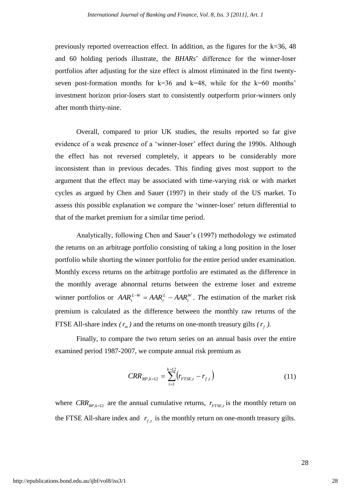previously reported overreaction effect. In addition, as the figures for the  $k=36, 48$ and 60 holding periods illustrate, the *BHARs*" difference for the winner-loser portfolios after adjusting for the size effect is almost eliminated in the first twentyseven post-formation months for  $k=36$  and  $k=48$ , while for the  $k=60$  months' investment horizon prior-losers start to consistently outperform prior-winners only after month thirty-nine.

Overall, compared to prior UK studies, the results reported so far give evidence of a weak presence of a 'winner-loser' effect during the 1990s. Although the effect has not reversed completely, it appears to be considerably more inconsistent than in previous decades. This finding gives most support to the argument that the effect may be associated with time-varying risk or with market cycles as argued by Chen and Sauer (1997) in their study of the US market. To assess this possible explanation we compare the "winner-loser" return differential to that of the market premium for a similar time period.

Analytically, following Chen and Sauer"s (1997) methodology we estimated the returns on an arbitrage portfolio consisting of taking a long position in the loser portfolio while shorting the winner portfolio for the entire period under examination. Monthly excess returns on the arbitrage portfolio are estimated as the difference in the monthly average abnormal returns between the extreme loser and extreme winner portfolios or  $AAR_t^{L-W} = AAR_t^L - AAR_t^W$ *t L*  $AAR_t^{L-W} = AAR_t^L - AAR_t^W$ . The estimation of the market risk premium is calculated as the difference between the monthly raw returns of the FTSE All-share index  $(r_m)$  and the returns on one-month treasury gilts  $(r_f)$ .

Finally, to compare the two return series on an annual basis over the entire examined period 1987-2007, we compute annual risk premium as

$$
CRR_{RP,k=12} = \sum_{t=1}^{k=12} (r_{FTSE,t} - r_{f,t})
$$
\n(11)

where  $CRR_{RP,k=12}$  are the annual cumulative returns,  $r_{FTSE,t}$  is the monthly return on the FTSE All-share index and  $r_{f,t}$  is the monthly return on one-month treasury gilts.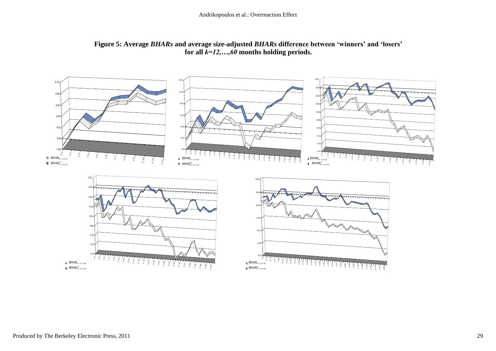

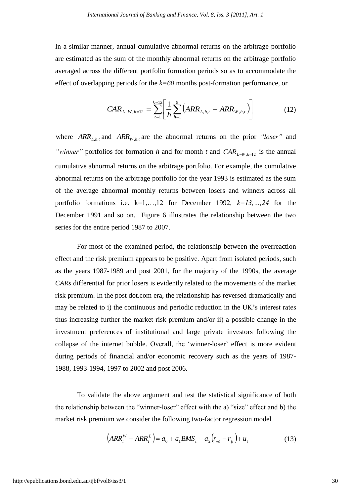In a similar manner, annual cumulative abnormal returns on the arbitrage portfolio are estimated as the sum of the monthly abnormal returns on the arbitrage portfolio averaged across the different portfolio formation periods so as to accommodate the effect of overlapping periods for the *k=60* months post-formation performance, or

$$
CAR_{L-W,k=12} = \sum_{t=1}^{k=12} \left[ \frac{1}{h} \sum_{h=1}^{5} \left( ARR_{L,h,t} - ARR_{W,h,t} \right) \right]
$$
(12)

where  $ARR_{L,h,t}$  and  $ARR_{W,h,t}$  are the abnormal returns on the prior *"loser"* and "*winner*" portfolios for formation *h* and for month *t* and  $CAR$ <sup>*LW*,*k*=12 is the annual</sup> cumulative abnormal returns on the arbitrage portfolio. For example, the cumulative abnormal returns on the arbitrage portfolio for the year 1993 is estimated as the sum of the average abnormal monthly returns between losers and winners across all portfolio formations i.e.  $k=1,...,12$  for December 1992,  $k=13,...,24$  for the December 1991 and so on. Figure 6 illustrates the relationship between the two series for the entire period 1987 to 2007.

For most of the examined period, the relationship between the overreaction effect and the risk premium appears to be positive. Apart from isolated periods, such as the years 1987-1989 and post 2001, for the majority of the 1990s, the average *CARs* differential for prior losers is evidently related to the movements of the market risk premium. In the post dot.com era, the relationship has reversed dramatically and may be related to i) the continuous and periodic reduction in the UK"s interest rates thus increasing further the market risk premium and/or ii) a possible change in the investment preferences of institutional and large private investors following the collapse of the internet bubble. Overall, the "winner-loser" effect is more evident during periods of financial and/or economic recovery such as the years of 1987- 1988, 1993-1994, 1997 to 2002 and post 2006.

To validate the above argument and test the statistical significance of both the relationship between the "winner-loser" effect with the a) "size" effect and b) the market risk premium we consider the following two-factor regression model

$$
(ARRtW -ARRtL) = a0 + a1BMSt + a2(rmt - rft) + ut
$$
 (13)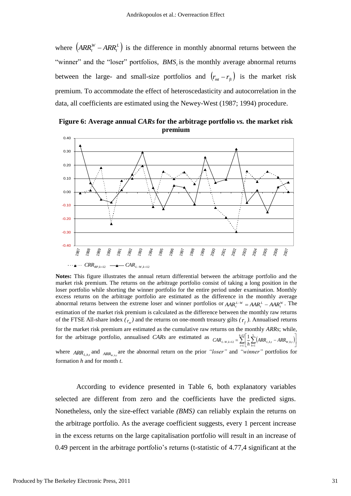where  $\left( ARR_t^W - ARR_t^L \right)$  $ARR_t^W - ARR_t^L$  is the difference in monthly abnormal returns between the "winner" and the "loser" portfolios, *BMS*<sub>*t*</sub> is the monthly average abnormal returns between the large- and small-size portfolios and  $(r_{m} - r_{f})$  is the market risk premium. To accommodate the effect of heteroscedasticity and autocorrelation in the data, all coefficients are estimated using the Newey-West (1987; 1994) procedure.

 $-0.40$ -0.30 -0.20  $-0.10$ 0.00 0.10 0.20 0.30 0.40 1987 1988 1989 1990 1991 1992 1993 1994 1995 1996 1997 1998 1999  $200$ 2001  $2002$ 2003 2004 2005 2006 2007  $CRR_{RP, k=12}$   $\longrightarrow$   $CAR_{L-W, k=12}$ 

**Figure 6: Average annual** *CARs* **for the arbitrage portfolio** *vs.* **the market risk premium**

**Notes:** This figure illustrates the annual return differential between the arbitrage portfolio and the market risk premium. The returns on the arbitrage portfolio consist of taking a long position in the loser portfolio while shorting the winner portfolio for the entire period under examination. Monthly excess returns on the arbitrage portfolio are estimated as the difference in the monthly average abnormal returns between the extreme loser and winner portfolios or  $AAR_t^{L-W} = AAR_t^L - AAR_t^W$ . The estimation of the market risk premium is calculated as the difference between the monthly raw returns of the FTSE All-share index  $(r_m)$  and the returns on one-month treasury gilts  $(r_f)$ . Annualised returns for the market risk premium are estimated as the cumulative raw returns on the monthly *ARRs*; while, for the arbitrage portfolio, annualised *CARs* are estimated as  $_{CAR_{L-W,k=12}} = \sum_{k=1}^{k=1} \frac{1}{k} \sum_{k=1}^{s} (ARR_{L,h,t} -ARR_{W,h,t})$  $_{-W,k=12} = \sum_{t=1}^{N} \left[ \frac{1}{h} \sum_{h=1}^{N} (AKK_{L,h,t} - AKK_{W,h,t}) \right]$ ا، Ľ  $=\sum_{k=1}^{k=12}\left(\frac{1}{2}\right)^5(ARR_{i,k,t}-1)$ 1 5  $\sum_{k=12}^{k=12} = \sum_{t=1}^{k=12} \frac{1}{h} \sum_{h=1}^{5} (ARR_{L,h,t} -ARR_{W,h,t})$  $CAR_{L-W,k=12} = \sum_{t=1}^{N} \left[ \frac{1}{h} \sum_{h=1}^{n} (ARR_{L,h,t} -ARR_{W,h,t}) \right]$ where  $ARR_{L,h,t}$  and  $ARR_{W,h,t}$  are the abnormal return on the prior *"loser"* and *"winner"* portfolios for formation *h* and for month *t*.

According to evidence presented in Table 6, both explanatory variables selected are different from zero and the coefficients have the predicted signs. Nonetheless, only the size-effect variable *(BMS)* can reliably explain the returns on the arbitrage portfolio. As the average coefficient suggests, every 1 percent increase in the excess returns on the large capitalisation portfolio will result in an increase of 0.49 percent in the arbitrage portfolio"s returns (t-statistic of 4.77,4 significant at the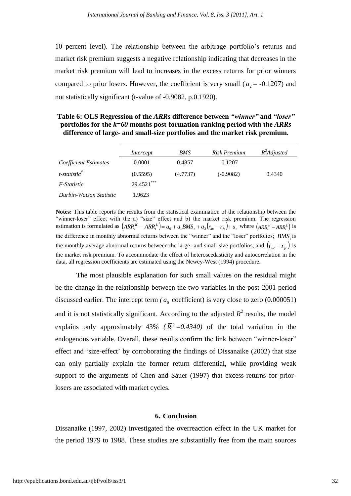10 percent level). The relationship between the arbitrage portfolio"s returns and market risk premium suggests a negative relationship indicating that decreases in the market risk premium will lead to increases in the excess returns for prior winners compared to prior losers. However, the coefficient is very small ( $a_2$  = -0.1207) and not statistically significant (t-value of -0.9082, p.0.1920).

# **Table 6: OLS Regression of the** *ARRs* **difference between** *"winner"* **and** *"loser"* **portfolios for the** *k=60* **months post-formation ranking period with the** *ARRs*  **difference of large- and small-size portfolios and the market risk premium.**

|                             | Intercept  | BMS      | Risk Premium | $R^2$ Adjusted |
|-----------------------------|------------|----------|--------------|----------------|
| Coefficient Estimates       | 0.0001     | 0.4857   | $-0.1207$    |                |
| $t$ -statistic <sup>#</sup> | (0.5595)   | (4.7737) | $(-0.9082)$  | 0.4340         |
| F-Statistic                 | 29.4521*** |          |              |                |
| Durbin-Watson Statistic     | 1.9623     |          |              |                |

**Notes:** This table reports the results from the statistical examination of the relationship between the "winner-loser" effect with the a) "size" effect and b) the market risk premium. The regression estimation is formulated as  $\left(ARR_t^W - ARR_t^L\right) = a_0 + a_1BMS_t + a_2(r_m - r_f) + u_t$ , where  $\left(AR_t^W - ARR_t^L\right)$  is the difference in monthly abnormal returns between the "winner" and the "loser" portfolios; *BMS<sub>t</sub>* is the monthly average abnormal returns between the large- and small-size portfolios, and  $(r_{mt} - r_{ft})$  is the market risk premium. To accommodate the effect of heteroscedasticity and autocorrelation in the data, all regression coefficients are estimated using the Newey-West (1994) procedure.

The most plausible explanation for such small values on the residual might be the change in the relationship between the two variables in the post-2001 period discussed earlier. The intercept term  $(a_0 \text{ coefficient})$  is very close to zero  $(0.000051)$ and it is not statistically significant. According to the adjusted  $R^2$  results, the model explains only approximately 43% ( $\overline{R}^2 = 0.4340$ ) of the total variation in the endogenous variable. Overall, these results confirm the link between "winner-loser" effect and "size-effect" by corroborating the findings of Dissanaike (2002) that size can only partially explain the former return differential, while providing weak support to the arguments of Chen and Sauer (1997) that excess-returns for priorlosers are associated with market cycles.

#### **6. Conclusion**

Dissanaike (1997, 2002) investigated the overreaction effect in the UK market for the period 1979 to 1988. These studies are substantially free from the main sources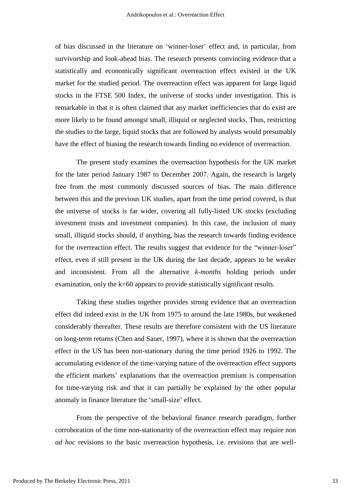of bias discussed in the literature on "winner-loser" effect and, in particular, from survivorship and look-ahead bias. The research presents convincing evidence that a statistically and economically significant overreaction effect existed in the UK market for the studied period. The overreaction effect was apparent for large liquid stocks in the FTSE 500 Index, the universe of stocks under investigation. This is remarkable in that it is often claimed that any market inefficiencies that do exist are more likely to be found amongst small, illiquid or neglected stocks. Thus, restricting the studies to the large, liquid stocks that are followed by analysts would presumably have the effect of biasing the research towards finding no evidence of overreaction.

The present study examines the overreaction hypothesis for the UK market for the later period January 1987 to December 2007. Again, the research is largely free from the most commonly discussed sources of bias. The main difference between this and the previous UK studies, apart from the time period covered, is that the universe of stocks is far wider, covering all fully-listed UK stocks (excluding investment trusts and investment companies). In this case, the inclusion of many small, illiquid stocks should, if anything, bias the research towards finding evidence for the overreaction effect. The results suggest that evidence for the "winner-loser" effect, even if still present in the UK during the last decade, appears to be weaker and inconsistent. From all the alternative *k-months* holding periods under examination, only the k=60 appears to provide statistically significant results.

Taking these studies together provides strong evidence that an overreaction effect did indeed exist in the UK from 1975 to around the late 1980s, but weakened considerably thereafter. These results are therefore consistent with the US literature on long-term returns (Chen and Sauer, 1997), where it is shown that the overreaction effect in the US has been non-stationary during the time period 1926 to 1992. The accumulating evidence of the time-varying nature of the overreaction effect supports the efficient markets" explanations that the overreaction premium is compensation for time-varying risk and that it can partially be explained by the other popular anomaly in finance literature the "small-size" effect.

From the perspective of the behavioral finance research paradigm, further corroboration of the time non-stationarity of the overreaction effect may require non *ad hoc* revisions to the basic overreaction hypothesis, i.e. revisions that are well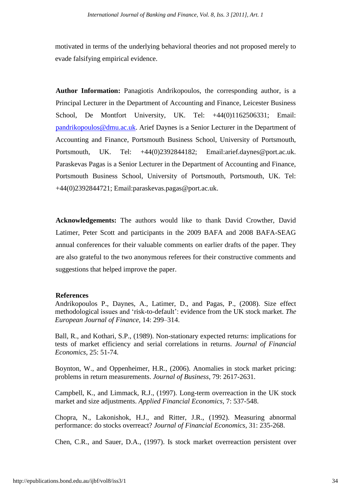motivated in terms of the underlying behavioral theories and not proposed merely to evade falsifying empirical evidence.

**Author Information:** Panagiotis Andrikopoulos, the corresponding author, is a Principal Lecturer in the Department of Accounting and Finance, Leicester Business School, De Montfort University, UK. Tel: +44(0)1162506331; Email: [pandrikopoulos@dmu.ac.uk.](mailto:pandrikopoulos@dmu.ac.uk) Arief Daynes is a Senior Lecturer in the Department of Accounting and Finance, Portsmouth Business School, University of Portsmouth, Portsmouth, UK. Tel: +44(0)2392844182; Email:arief.daynes@port.ac.uk. Paraskevas Pagas is a Senior Lecturer in the Department of Accounting and Finance, Portsmouth Business School, University of Portsmouth, Portsmouth, UK. Tel: +44(0)2392844721; Email:paraskevas.pagas@port.ac.uk.

**Acknowledgements:** The authors would like to thank David Crowther, David Latimer, Peter Scott and participants in the 2009 BAFA and 2008 BAFA-SEAG annual conferences for their valuable comments on earlier drafts of the paper. They are also grateful to the two anonymous referees for their constructive comments and suggestions that helped improve the paper.

#### **References**

Andrikopoulos P., Daynes, A., Latimer, D., and Pagas, P., (2008). Size effect methodological issues and "risk-to-default": evidence from the UK stock market. *The European Journal of Finance,* 14: 299–314.

Ball, R., and Kothari, S.P., (1989). Non-stationary expected returns: implications for tests of market efficiency and serial correlations in returns. *Journal of Financial Economics*, 25: 51-74.

Boynton, W., and Oppenheimer, H.R., (2006). Anomalies in stock market pricing: problems in return measurements. *Journal of Business*, 79: 2617-2631.

Campbell, K., and Limmack, R.J., (1997). Long-term overreaction in the UK stock market and size adjustments. *Applied Financial Economics,* 7: 537-548.

Chopra, N., Lakonishok, H.J., and Ritter, J.R., (1992). Measuring abnormal performance: do stocks overreact? *Journal of Financial Economics*, 31: 235-268.

Chen, C.R., and Sauer, D.A., (1997). Is stock market overreaction persistent over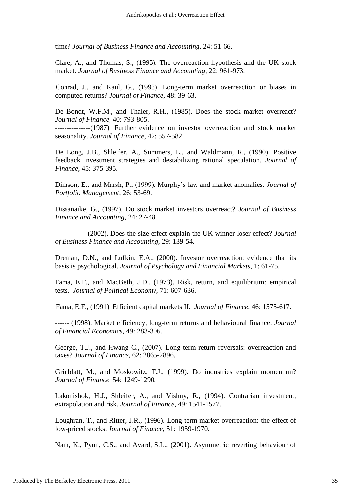time? *Journal of Business Finance and Accounting*, 24: 51-66.

Clare, A., and Thomas, S., (1995). The overreaction hypothesis and the UK stock market. *Journal of Business Finance and Accounting*, 22: 961-973.

Conrad, J., and Kaul, G., (1993). Long-term market overreaction or biases in computed returns? *Journal of Finance*, 48: 39-63.

De Bondt, W.F.M., and Thaler, R.H., (1985). Does the stock market overreact? *Journal of Finance*, 40: 793-805.

---------------(1987). Further evidence on investor overreaction and stock market seasonality. *Journal of Finance*, 42: 557-582.

De Long, J.B., Shleifer, A., Summers, L., and Waldmann, R., (1990). Positive feedback investment strategies and destabilizing rational speculation. *Journal of Finance*, 45: 375-395.

Dimson, E., and Marsh, P., (1999). Murphy"s law and market anomalies. *Journal of Portfolio Management*, 26: 53-69.

Dissanaike, G., (1997). Do stock market investors overreact? *Journal of Business Finance and Accounting*, 24: 27-48.

------------- (2002). Does the size effect explain the UK winner-loser effect? *Journal of Business Finance and Accounting*, 29: 139-54.

Dreman, D.N., and Lufkin, E.A., (2000). Investor overreaction: evidence that its basis is psychological. *Journal of Psychology and Financial Markets*, 1: 61-75.

Fama, E.F., and MacBeth, J.D., (1973). Risk, return, and equilibrium: empirical tests. *Journal of Political Economy*, 71: 607-636.

Fama, E.F., (1991). Efficient capital markets II. *Journal of Finance*, 46: 1575-617.

------ (1998). Market efficiency, long-term returns and behavioural finance. *Journal of Financial Economics*, 49: 283-306.

George, T.J., and Hwang C., (2007). Long-term return reversals: overreaction and taxes? *Journal of Finance*, 62: 2865-2896.

Grinblatt, M., and Moskowitz, T.J., (1999). Do industries explain momentum? *Journal of Finance*, 54: 1249-1290.

Lakonishok, H.J., Shleifer, A., and Vishny, R., (1994). Contrarian investment, extrapolation and risk. *Journal of Finance*, 49: 1541-1577.

Loughran, T., and Ritter, J.R., (1996). Long-term market overreaction: the effect of low-priced stocks. *Journal of Finance*, 51: 1959-1970.

Nam, K., Pyun, C.S., and Avard, S.L., (2001). Asymmetric reverting behaviour of